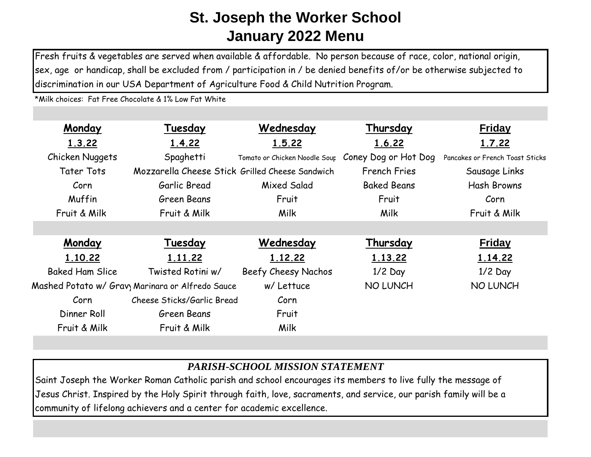Fresh fruits & vegetables are served when available & affordable. No person because of race, color, national origin, sex, age or handicap, shall be excluded from / participation in / be denied benefits of/or be otherwise subjected to discrimination in our USA Department of Agriculture Food & Child Nutrition Program.

\*Milk choices: Fat Free Chocolate & 1% Low Fat White

| Monday                 | Tuesday                                                      | Wednesday                     | Thursday             | <b>Friday</b>                   |
|------------------------|--------------------------------------------------------------|-------------------------------|----------------------|---------------------------------|
| 1.3.22                 | 1.4.22                                                       | 1.5.22                        | 1.6.22               | 1.7.22                          |
| Chicken Nuggets        | Spaghetti                                                    | Tomato or Chicken Noodle Sour | Coney Dog or Hot Dog | Pancakes or French Toast Sticks |
| <b>Tater Tots</b>      | Mozzarella Cheese Stick Grilled Cheese Sandwich              |                               | <b>French Fries</b>  | Sausage Links                   |
| Corn                   | Garlic Bread                                                 | Mixed Salad                   | <b>Baked Beans</b>   | <b>Hash Browns</b>              |
| Muffin                 | Green Beans                                                  | Fruit                         | Fruit                | Corn                            |
| Fruit & Milk           | Fruit & Milk                                                 | Milk                          | Milk                 | Fruit & Milk                    |
|                        |                                                              |                               |                      |                                 |
| Monday                 | Tuesday                                                      | Wednesday                     | Thursday             | <b>Friday</b>                   |
| 1.10.22                | 1.11.22                                                      | 1.12.22                       | 1.13.22              | 1.14.22                         |
| <b>Baked Ham Slice</b> | Twisted Rotini w/                                            | Beefy Cheesy Nachos           | $1/2$ Day            | $1/2$ Day                       |
|                        | Mashed Potato w/ Grav <sub>)</sub> Marinara or Alfredo Sauce | w/ Lettuce                    | <b>NO LUNCH</b>      | <b>NO LUNCH</b>                 |
| Corn                   | Cheese Sticks/Garlic Bread                                   | Corn                          |                      |                                 |
| Dinner Roll            | Green Beans                                                  | Fruit                         |                      |                                 |
| Fruit & Milk           | Fruit & Milk                                                 | Milk                          |                      |                                 |

## *PARISH-SCHOOL MISSION STATEMENT*

Saint Joseph the Worker Roman Catholic parish and school encourages its members to live fully the message of Jesus Christ. Inspired by the Holy Spirit through faith, love, sacraments, and service, our parish family will be a community of lifelong achievers and a center for academic excellence.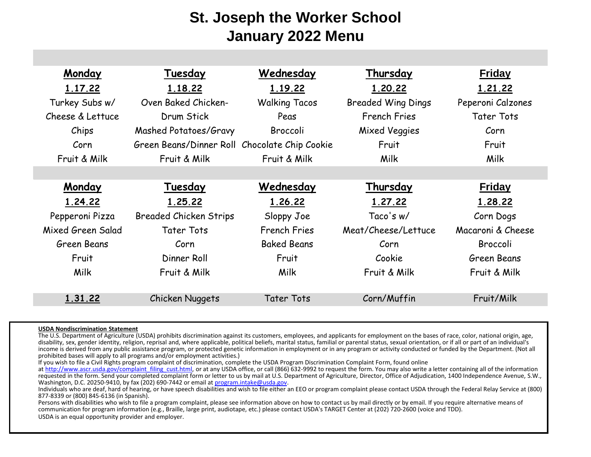| Monday            | Tuesday                                       | Wednesday            | Thursday                  | <b>Friday</b>     |
|-------------------|-----------------------------------------------|----------------------|---------------------------|-------------------|
| 1.17.22           | 1.18.22                                       | 1.19.22              | 1.20.22                   | 1.21.22           |
| Turkey Subs w/    | Oven Baked Chicken-                           | <b>Walking Tacos</b> | <b>Breaded Wing Dings</b> | Peperoni Calzones |
| Cheese & Lettuce  | Drum Stick                                    | Peas                 | <b>French Fries</b>       | <b>Tater Tots</b> |
| Chips             | Mashed Potatoes/Gravy                         | Broccoli             | <b>Mixed Veggies</b>      | Corn              |
| Corn              | Green Beans/Dinner Roll Chocolate Chip Cookie |                      | Fruit                     | Fruit             |
| Fruit & Milk      | Fruit & Milk                                  | Fruit & Milk         | Milk                      | <b>Milk</b>       |
|                   |                                               |                      |                           |                   |
| Monday            | Tuesday                                       | Wednesday            | Thursday                  | <b>Friday</b>     |
| 1.24.22           | 1.25.22                                       | 1.26.22              | 1.27.22                   | 1.28.22           |
| Pepperoni Pizza   | <b>Breaded Chicken Strips</b>                 | Sloppy Joe           | Taco's w/                 | Corn Dogs         |
| Mixed Green Salad | Tater Tots                                    | <b>French Fries</b>  | Meat/Cheese/Lettuce       | Macaroni & Cheese |
| Green Beans       | Corn                                          | <b>Baked Beans</b>   | Corn                      | <b>Broccoli</b>   |
| Fruit             | Dinner Roll                                   | Fruit                | Cookie                    | Green Beans       |
| Milk              | Fruit & Milk                                  | Milk                 | Fruit & Milk              | Fruit & Milk      |
|                   |                                               |                      |                           |                   |
| 1.31.22           | Chicken Nuggets                               | <b>Tater Tots</b>    | Corn/Muffin               | Fruit/Milk        |

## **USDA Nondiscrimination Statement**

The U.S. Department of Agriculture (USDA) prohibits discrimination against its customers, employees, and applicants for employment on the bases of race, color, national origin, age, disability, sex, gender identity, religion, reprisal and, where applicable, political beliefs, marital status, familial or parental status, sexual orientation, or if all or part of an individual's income is derived from any public assistance program, or protected genetic information in employment or in any program or activity conducted or funded by the Department. (Not all prohibited bases will apply to all programs and/or employment activities.)

If you wish to file a Civil Rights program complaint of discrimination, complete the USDA Program Discrimination Complaint Form, found online

at http://www.ascr.usda.gov/complaint\_filing\_cust.html, or at any USDA office, or call (866) 632-9992 to request the form. You may also write a letter containing all of the information requested in the form. Send your completed complaint form or letter to us by mail at U.S. Department of Agriculture, Director, Office of Adjudication, 1400 Independence Avenue, S.W., Washington, D.C. 20250-9410, by fax (202) 690-7442 or email at program.intake@usda.gov.

Individuals who are deaf, hard of hearing, or have speech disabilities and wish to file either an EEO or program complaint please contact USDA through the Federal Relay Service at (800) 877-8339 or (800) 845-6136 (in Spanish).

Persons with disabilities who wish to file a program complaint, please see information above on how to contact us by mail directly or by email. If you require alternative means of communication for program information (e.g., Braille, large print, audiotape, etc.) please contact USDA's TARGET Center at (202) 720-2600 (voice and TDD). USDA is an equal opportunity provider and employer.